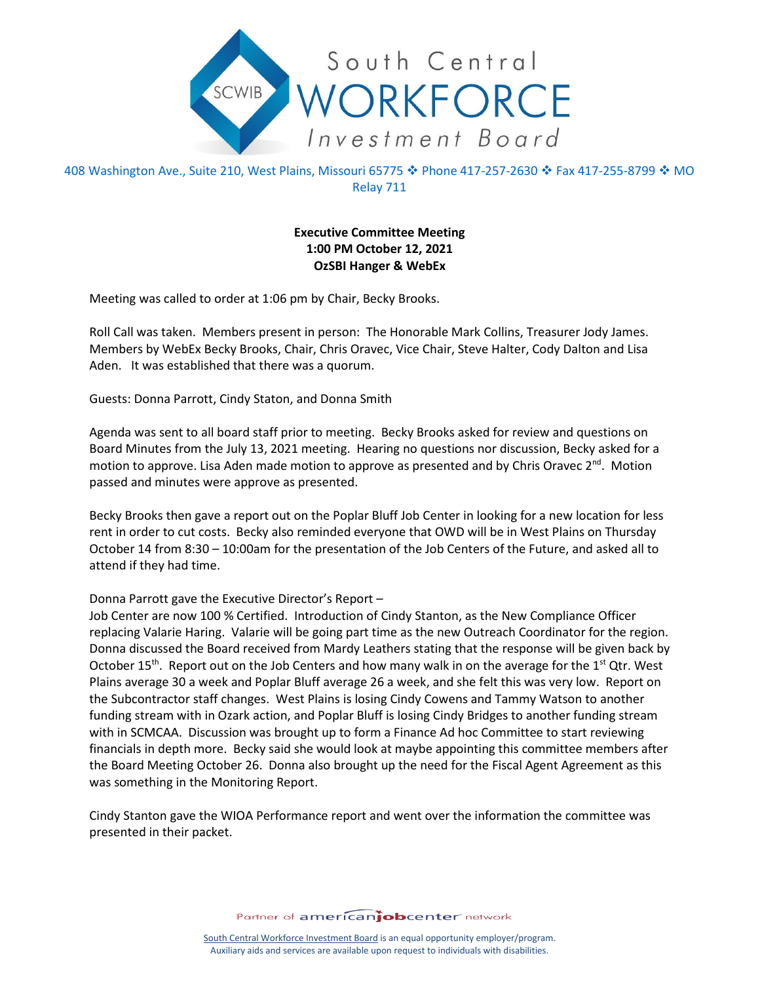

408 Washington Ave., Suite 210, West Plains, Missouri 65775 � Phone 417-257-2630 � Fax 417-255-8799 � MO Relay 711

## **Executive Committee Meeting 1:00 PM October 12, 2021 OzSBI Hanger & WebEx**

Meeting was called to order at 1:06 pm by Chair, Becky Brooks.

Roll Call was taken. Members present in person: The Honorable Mark Collins, Treasurer Jody James. Members by WebEx Becky Brooks, Chair, Chris Oravec, Vice Chair, Steve Halter, Cody Dalton and Lisa Aden. It was established that there was a quorum.

Guests: Donna Parrott, Cindy Staton, and Donna Smith

Agenda was sent to all board staff prior to meeting. Becky Brooks asked for review and questions on Board Minutes from the July 13, 2021 meeting. Hearing no questions nor discussion, Becky asked for a motion to approve. Lisa Aden made motion to approve as presented and by Chris Oravec 2<sup>nd</sup>. Motion passed and minutes were approve as presented.

Becky Brooks then gave a report out on the Poplar Bluff Job Center in looking for a new location for less rent in order to cut costs. Becky also reminded everyone that OWD will be in West Plains on Thursday October 14 from 8:30 – 10:00am for the presentation of the Job Centers of the Future, and asked all to attend if they had time.

## Donna Parrott gave the Executive Director's Report –

Job Center are now 100 % Certified. Introduction of Cindy Stanton, as the New Compliance Officer replacing Valarie Haring. Valarie will be going part time as the new Outreach Coordinator for the region. Donna discussed the Board received from Mardy Leathers stating that the response will be given back by October 15<sup>th</sup>. Report out on the Job Centers and how many walk in on the average for the 1<sup>st</sup> Qtr. West Plains average 30 a week and Poplar Bluff average 26 a week, and she felt this was very low. Report on the Subcontractor staff changes. West Plains is losing Cindy Cowens and Tammy Watson to another funding stream with in Ozark action, and Poplar Bluff is losing Cindy Bridges to another funding stream with in SCMCAA. Discussion was brought up to form a Finance Ad hoc Committee to start reviewing financials in depth more. Becky said she would look at maybe appointing this committee members after the Board Meeting October 26. Donna also brought up the need for the Fiscal Agent Agreement as this was something in the Monitoring Report.

Cindy Stanton gave the WIOA Performance report and went over the information the committee was presented in their packet.

Partner of americanjobcenter network